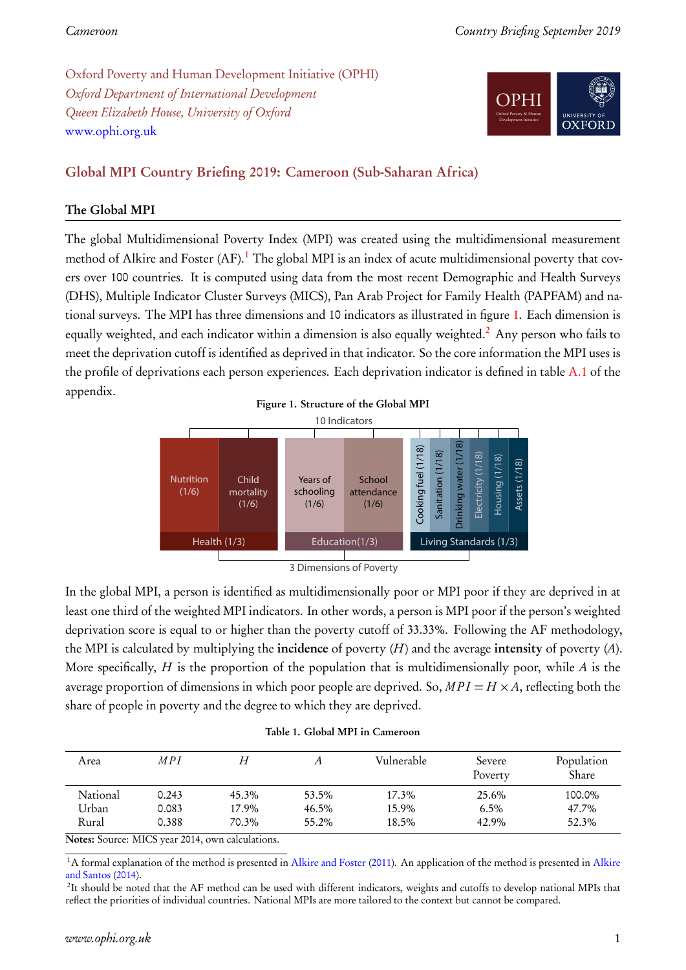Oxford Poverty and Human Development Initiative (OPHI) Oxford Department of International Development Queen Elizabeth House, University of Oxford <www.ophi.org.uk>



# Global MPI Country Briefing 2019: Cameroon (Sub-Saharan Africa)

## The Global MPI

The global Multidimensional Poverty Index (MPI) was created using the multidimensional measurement method of Alkire and Foster  $(AF)$ .<sup>[1](#page-0-0)</sup> The global MPI is an index of acute multidimensional poverty that covers over 100 countries. It is computed using data from the most recent Demographic and Health Surveys (DHS), Multiple Indicator Cluster Surveys (MICS), Pan Arab Project for Family Health (PAPFAM) and national surveys. The MPI has three dimensions and 10 indicators as illustrated in figure [1.](#page-0-1) Each dimension is equally weighted, and each indicator within a dimension is also equally weighted.<sup>[2](#page-0-2)</sup> Any person who fails to meet the deprivation cutoff is identified as deprived in that indicator. So the core information the MPI uses is the profile of deprivations each person experiences. Each deprivation indicator is defined in table [A.1](#page-8-0) of the appendix.

<span id="page-0-1"></span>

<sup>3</sup> Dimensions of Poverty

In the global MPI, a person is identified as multidimensionally poor or MPI poor if they are deprived in at least one third of the weighted MPI indicators. In other words, a person is MPI poor if the person's weighted deprivation score is equal to or higher than the poverty cutoff of 33.33%. Following the AF methodology, the MPI is calculated by multiplying the incidence of poverty  $(H)$  and the average intensity of poverty  $(A)$ . More specifically,  $H$  is the proportion of the population that is multidimensionally poor, while  $A$  is the average proportion of dimensions in which poor people are deprived. So,  $MPI = H \times A$ , reflecting both the share of people in poverty and the degree to which they are deprived.

<span id="page-0-3"></span>

| Area     | MPI   | H     |       | Vulnerable | Severe<br>Poverty | Population<br>Share |
|----------|-------|-------|-------|------------|-------------------|---------------------|
| National | 0.243 | 45.3% | 53.5% | 17.3%      | 25.6%             | 100.0%              |
| Urban    | 0.083 | 17.9% | 46.5% | 15.9%      | $6.5\%$           | 47.7%               |
| Rural    | 0.388 | 70.3% | 55.2% | $18.5\%$   | 42.9%             | 52.3%               |

|  |  |  |  | Table 1. Global MPI in Cameroon |
|--|--|--|--|---------------------------------|
|--|--|--|--|---------------------------------|

Notes: Source: MICS year 2014, own calculations.

<span id="page-0-0"></span><sup>1</sup>A formal explanation of the method is presented in [Alkire and Foster](#page-9-0) [\(2011\)](#page-9-0). An application of the method is presented in [Alkire](#page-9-1) [and Santos](#page-9-1) [\(2014\)](#page-9-1).

<span id="page-0-2"></span><sup>2</sup>It should be noted that the AF method can be used with different indicators, weights and cutoffs to develop national MPIs that reflect the priorities of individual countries. National MPIs are more tailored to the context but cannot be compared.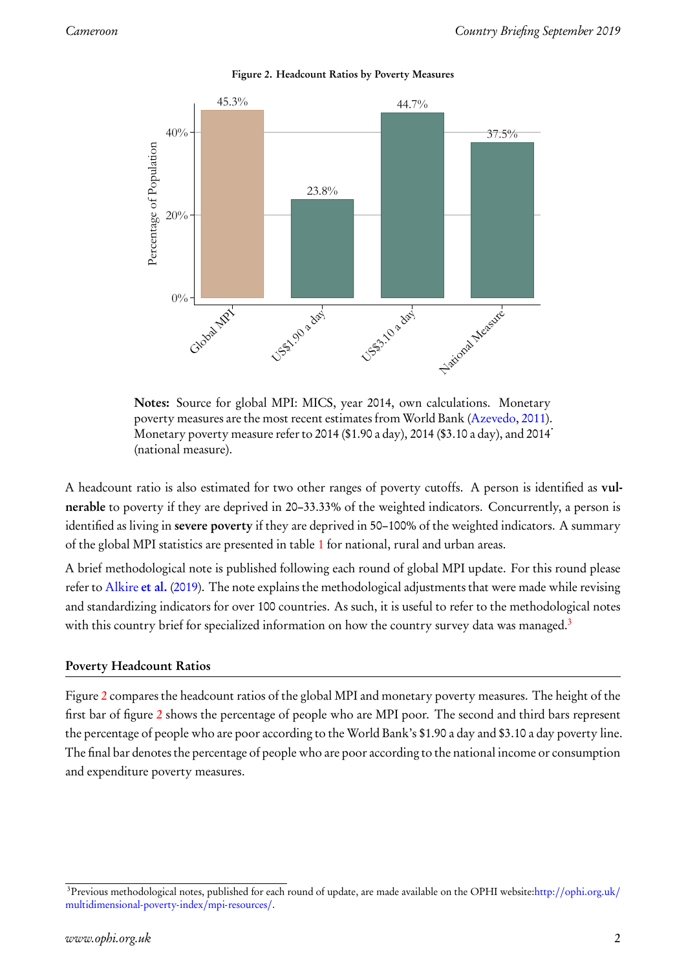<span id="page-1-1"></span>

Figure 2. Headcount Ratios by Poverty Measures

Notes: Source for global MPI: MICS, year 2014, own calculations. Monetary poverty measures are the most recent estimates from World Bank [\(Azevedo,](#page-9-2) [2011\)](#page-9-2). poverty measures are the most recent estimates from world Bank (122 vedd), 2011.<br>Monetary poverty measure refer to 2014 (\$1.90 a day), 2014 (\$3.10 a day), and 2014 (national measure).

A headcount ratio is also estimated for two other ranges of poverty cutoffs. A person is identified as vulnerable to poverty if they are deprived in 20–33.33% of the weighted indicators. Concurrently, a person is identified as living in severe poverty if they are deprived in 50–100% of the weighted indicators. A summary of the global MPI statistics are presented in table [1](#page-0-3) for national, rural and urban areas.

A brief methodological note is published following each round of global MPI update. For this round please refer to [Alkire](#page-9-3) et al. [\(2019\)](#page-9-3). The note explains the methodological adjustments that were made while revising and standardizing indicators for over 100 countries. As such, it is useful to refer to the methodological notes with this country brief for specialized information on how the country survey data was managed.<sup>[3](#page-1-0)</sup>

## Poverty Headcount Ratios

Figure [2](#page-1-1) compares the headcount ratios of the global MPI and monetary poverty measures. The height of the first bar of figure [2](#page-1-1) shows the percentage of people who are MPI poor. The second and third bars represent the percentage of people who are poor according to the World Bank's \$1.90 a day and \$3.10 a day poverty line. The final bar denotes the percentage of people who are poor according to the national income or consumption and expenditure poverty measures.

<span id="page-1-0"></span><sup>&</sup>lt;sup>3</sup>Previous methodological notes, published for each round of update, are made available on the OPHI website:http://[ophi.org.uk](http://ophi.org.uk/multidimensional-poverty-index/mpi-resources/)/ [multidimensional-poverty-index](http://ophi.org.uk/multidimensional-poverty-index/mpi-resources/)/mpi-resources/.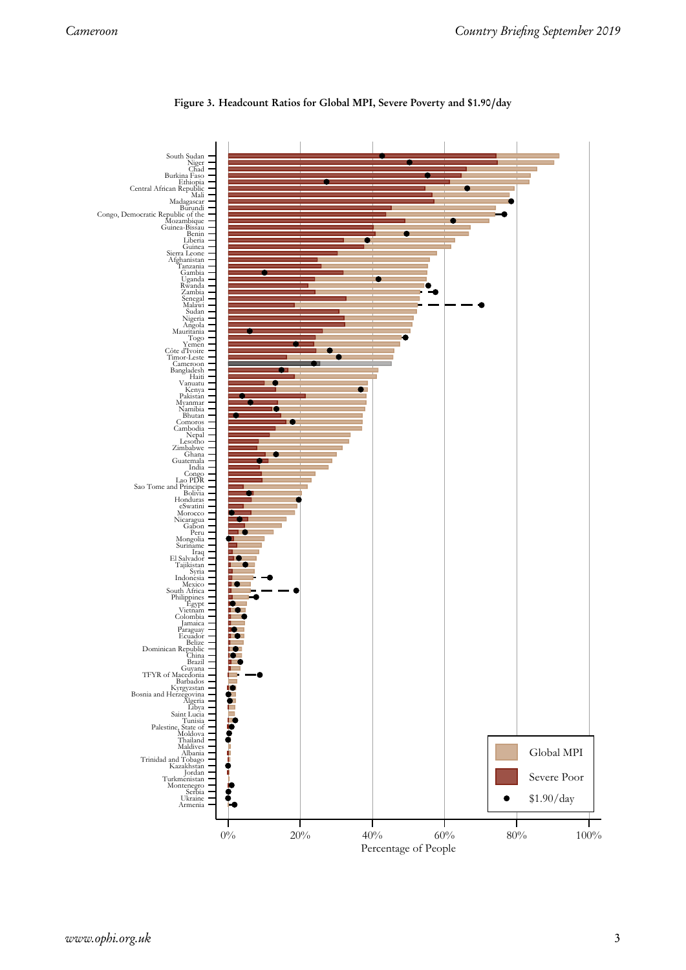<span id="page-2-0"></span>

#### Figure 3. Headcount Ratios for Global MPI, Severe Poverty and \$1.90/day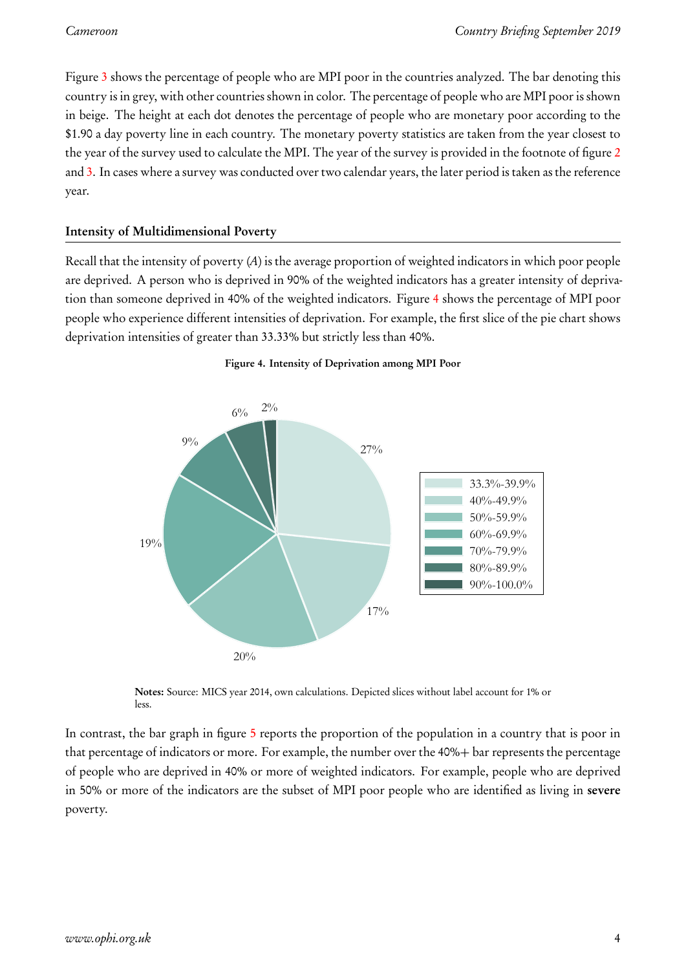Figure [3](#page-2-0) shows the percentage of people who are MPI poor in the countries analyzed. The bar denoting this country is in grey, with other countries shown in color. The percentage of people who are MPI poor is shown in beige. The height at each dot denotes the percentage of people who are monetary poor according to the \$1.90 a day poverty line in each country. The monetary poverty statistics are taken from the year closest to the year of the survey used to calculate the MPI. The year of the survey is provided in the footnote of figure [2](#page-1-1) and [3.](#page-2-0) In cases where a survey was conducted over two calendar years, the later period is taken as the reference year.

### Intensity of Multidimensional Poverty

Recall that the intensity of poverty (A) is the average proportion of weighted indicators in which poor people are deprived. A person who is deprived in 90% of the weighted indicators has a greater intensity of deprivation than someone deprived in 40% of the weighted indicators. Figure [4](#page-3-0) shows the percentage of MPI poor people who experience different intensities of deprivation. For example, the first slice of the pie chart shows deprivation intensities of greater than 33.33% but strictly less than 40%.

<span id="page-3-0"></span>

#### Figure 4. Intensity of Deprivation among MPI Poor

Notes: Source: MICS year 2014, own calculations. Depicted slices without label account for 1% or less.

In contrast, the bar graph in figure [5](#page-4-0) reports the proportion of the population in a country that is poor in that percentage of indicators or more. For example, the number over the 40%+ bar represents the percentage of people who are deprived in 40% or more of weighted indicators. For example, people who are deprived in 50% or more of the indicators are the subset of MPI poor people who are identified as living in severe poverty.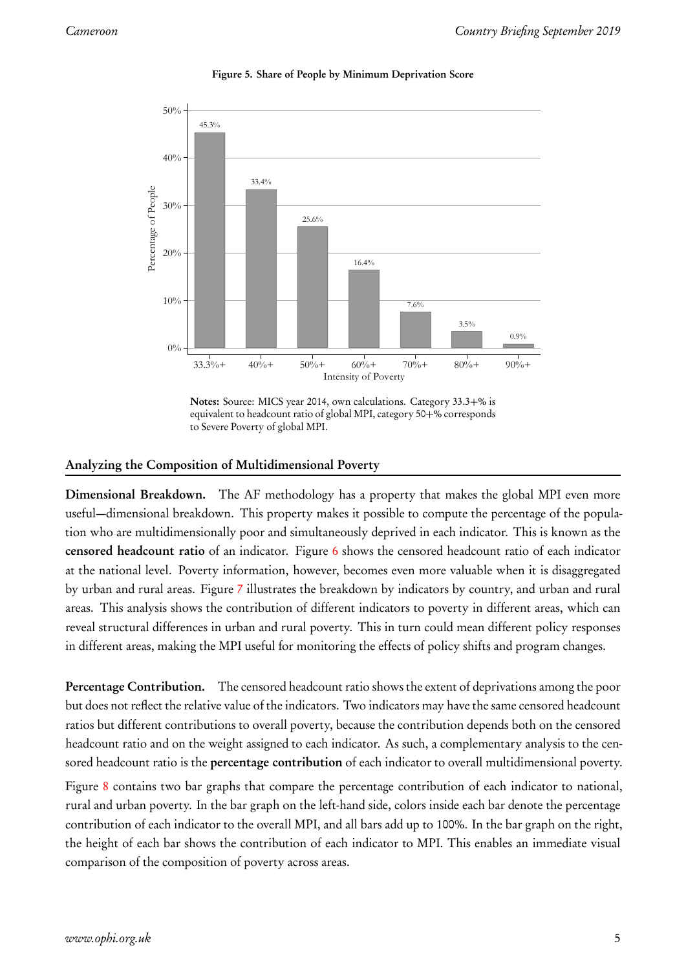<span id="page-4-0"></span>

Figure 5. Share of People by Minimum Deprivation Score

Notes: Source: MICS year 2014, own calculations. Category 33.3+% is equivalent to headcount ratio of global MPI, category 50+% corresponds to Severe Poverty of global MPI.

### Analyzing the Composition of Multidimensional Poverty

Dimensional Breakdown. The AF methodology has a property that makes the global MPI even more useful—dimensional breakdown. This property makes it possible to compute the percentage of the population who are multidimensionally poor and simultaneously deprived in each indicator. This is known as the censored headcount ratio of an indicator. Figure [6](#page-5-0) shows the censored headcount ratio of each indicator at the national level. Poverty information, however, becomes even more valuable when it is disaggregated by urban and rural areas. Figure [7](#page-5-1) illustrates the breakdown by indicators by country, and urban and rural areas. This analysis shows the contribution of different indicators to poverty in different areas, which can reveal structural differences in urban and rural poverty. This in turn could mean different policy responses in different areas, making the MPI useful for monitoring the effects of policy shifts and program changes.

Percentage Contribution. The censored headcount ratio shows the extent of deprivations among the poor but does not reflect the relative value of the indicators. Two indicators may have the same censored headcount ratios but different contributions to overall poverty, because the contribution depends both on the censored headcount ratio and on the weight assigned to each indicator. As such, a complementary analysis to the censored headcount ratio is the percentage contribution of each indicator to overall multidimensional poverty.

Figure [8](#page-6-0) contains two bar graphs that compare the percentage contribution of each indicator to national, rural and urban poverty. In the bar graph on the left-hand side, colors inside each bar denote the percentage contribution of each indicator to the overall MPI, and all bars add up to 100%. In the bar graph on the right, the height of each bar shows the contribution of each indicator to MPI. This enables an immediate visual comparison of the composition of poverty across areas.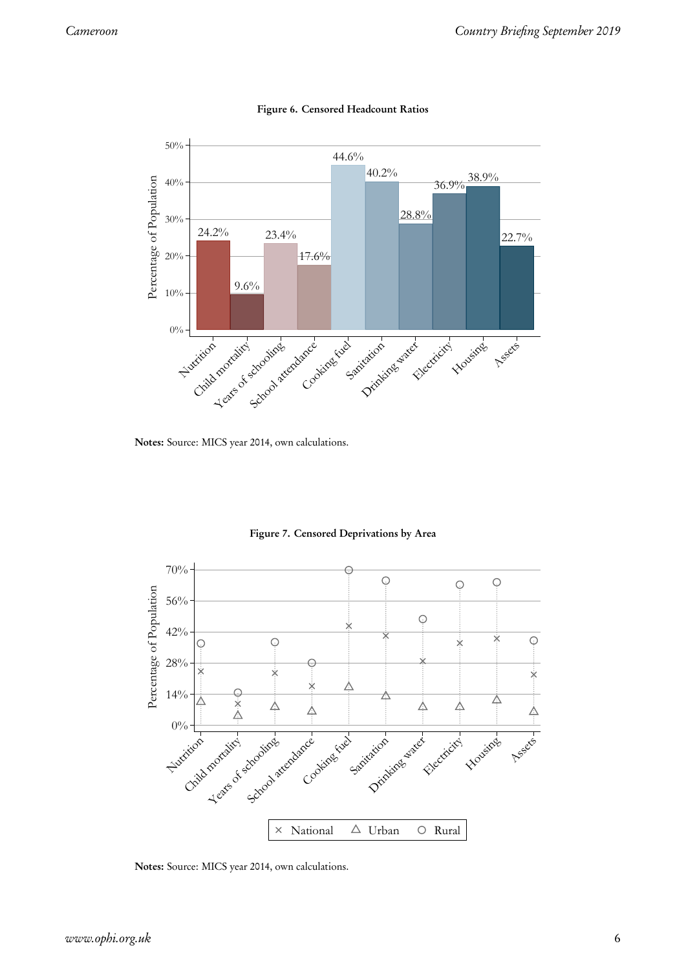<span id="page-5-0"></span>

Figure 6. Censored Headcount Ratios



<span id="page-5-1"></span>

Notes: Source: MICS year 2014, own calculations.

Notes: Source: MICS year 2014, own calculations.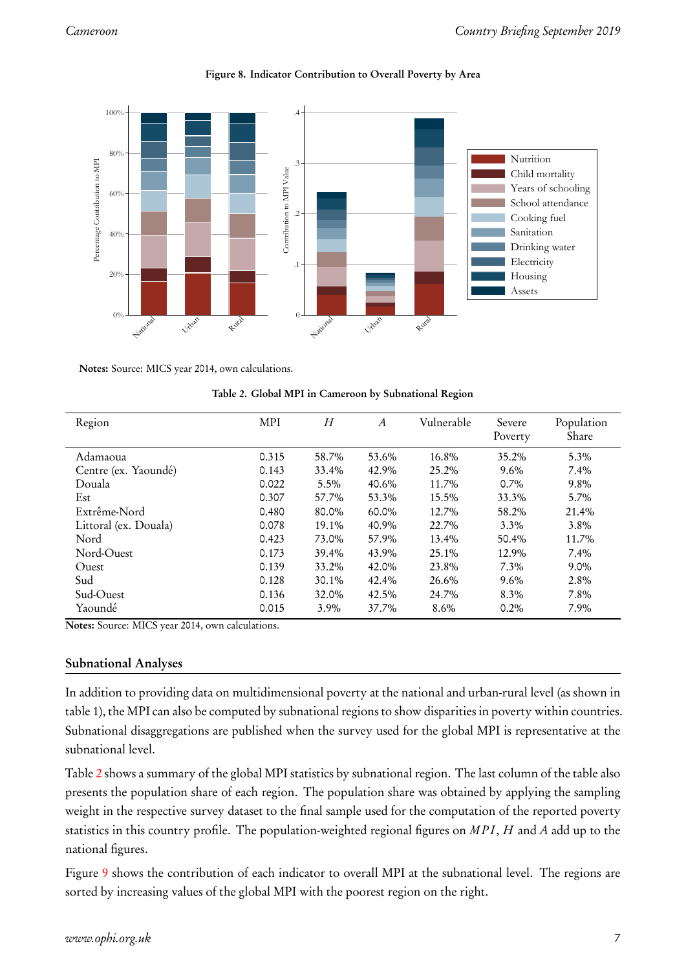<span id="page-6-0"></span>

#### Figure 8. Indicator Contribution to Overall Poverty by Area

<span id="page-6-1"></span>Notes: Source: MICS year 2014, own calculations.

|  |  |  |  |  | Table 2. Global MPI in Cameroon by Subnational Region |  |
|--|--|--|--|--|-------------------------------------------------------|--|
|--|--|--|--|--|-------------------------------------------------------|--|

| Region                | MPI   | H        | $\overline{A}$ | Vulnerable | Severe<br>Poverty | Population<br>Share |
|-----------------------|-------|----------|----------------|------------|-------------------|---------------------|
| Adamaoua              | 0.315 | 58.7%    | 53.6%          | 16.8%      | 35.2%             | 5.3%                |
| Centre (ex. Yaoundé)  | 0.143 | 33.4%    | 42.9%          | 25.2%      | $9.6\%$           | 7.4%                |
| Douala                | 0.022 | 5.5%     | 40.6%          | $11.7\%$   | $0.7\%$           | 9.8%                |
| Est                   | 0.307 | 57.7%    | 53.3%          | 15.5%      | 33.3%             | 5.7%                |
| Extrême-Nord          | 0.480 | 80.0%    | 60.0%          | $12.7\%$   | 58.2%             | 21.4%               |
| Littoral (ex. Douala) | 0.078 | 19.1%    | 40.9%          | 22.7%      | $3.3\%$           | 3.8%                |
| Nord                  | 0.423 | 73.0%    | 57.9%          | $13.4\%$   | 50.4%             | 11.7%               |
| Nord-Ouest            | 0.173 | 39.4%    | 43.9%          | 25.1%      | 12.9%             | 7.4%                |
| Ouest                 | 0.139 | 33.2%    | 42.0%          | 23.8%      | $7.3\%$           | 9.0%                |
| Sud                   | 0.128 | $30.1\%$ | 42.4%          | 26.6%      | $9.6\%$           | 2.8%                |
| Sud-Ouest             | 0.136 | 32.0%    | 42.5%          | 24.7%      | 8.3%              | 7.8%                |
| Yaoundé               | 0.015 | 3.9%     | 37.7%          | 8.6%       | $0.2\%$           | 7.9%                |

Notes: Source: MICS year 2014, own calculations.

### Subnational Analyses

In addition to providing data on multidimensional poverty at the national and urban-rural level (as shown in table 1), the MPI can also be computed by subnational regions to show disparities in poverty within countries. Subnational disaggregations are published when the survey used for the global MPI is representative at the subnational level.

Table [2](#page-6-1) shows a summary of the global MPI statistics by subnational region. The last column of the table also presents the population share of each region. The population share was obtained by applying the sampling weight in the respective survey dataset to the final sample used for the computation of the reported poverty statistics in this country profile. The population-weighted regional figures on  $MPI$ ,  $H$  and  $A$  add up to the national figures.

Figure [9](#page-7-0) shows the contribution of each indicator to overall MPI at the subnational level. The regions are sorted by increasing values of the global MPI with the poorest region on the right.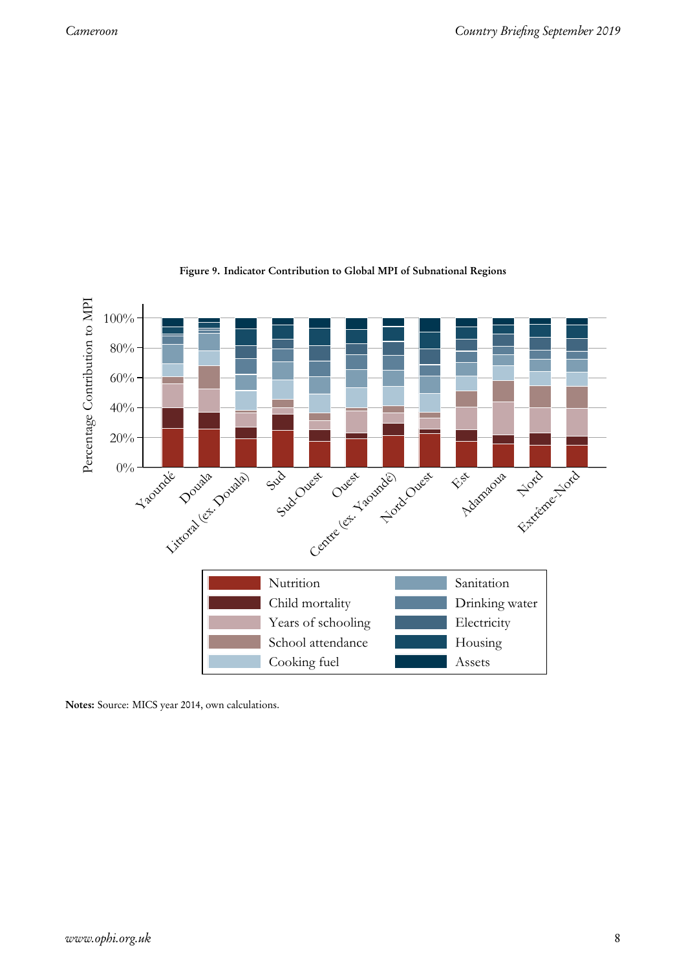<span id="page-7-0"></span>

#### Figure 9. Indicator Contribution to Global MPI of Subnational Regions

Notes: Source: MICS year 2014, own calculations.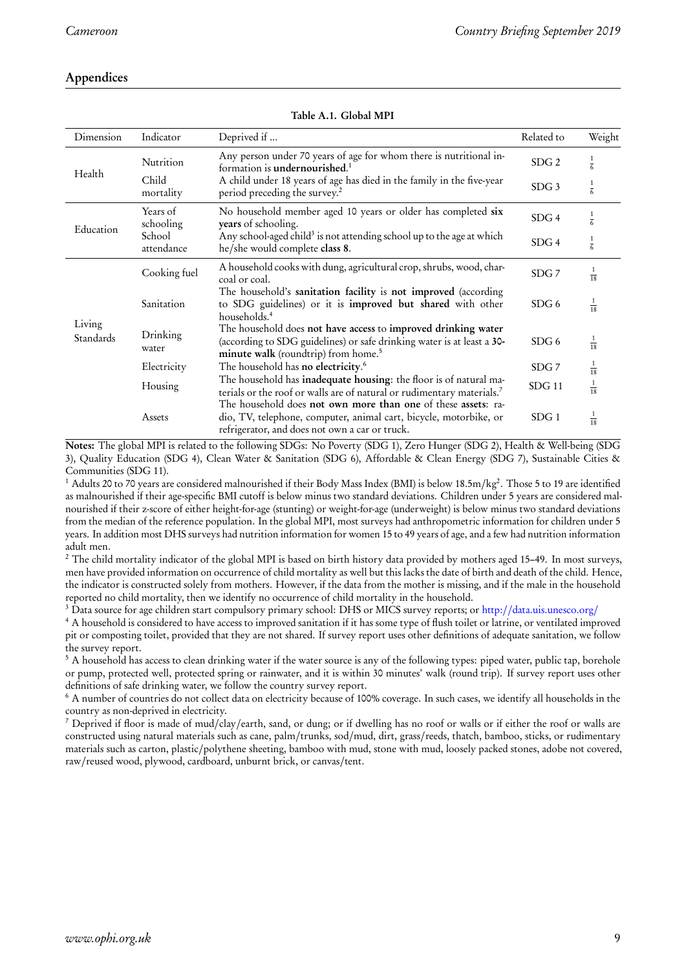### Appendices

<span id="page-8-0"></span>

| Dimension           | Indicator             | Deprived if                                                                                                                                                                                | Related to       | Weight         |
|---------------------|-----------------------|--------------------------------------------------------------------------------------------------------------------------------------------------------------------------------------------|------------------|----------------|
| Health              | Nutrition             | Any person under 70 years of age for whom there is nutritional in-<br>formation is <b>undernourished</b> . <sup>1</sup>                                                                    | SDG <sub>2</sub> | $\frac{1}{6}$  |
|                     | Child<br>mortality    | A child under 18 years of age has died in the family in the five-year<br>period preceding the survey. <sup>2</sup>                                                                         | SDG <sub>3</sub> | $\frac{1}{6}$  |
| Education           | Years of<br>schooling | No household member aged 10 years or older has completed six<br>years of schooling.                                                                                                        | SDG <sub>4</sub> | $\frac{1}{6}$  |
|                     | School<br>attendance  | Any school-aged child <sup>3</sup> is not attending school up to the age at which<br>he/she would complete class 8.                                                                        | SDG4             | $\frac{1}{6}$  |
| Living<br>Standards | Cooking fuel          | A household cooks with dung, agricultural crop, shrubs, wood, char-<br>coal or coal.                                                                                                       | SDG <sub>7</sub> | $\frac{1}{18}$ |
|                     | Sanitation            | The household's sanitation facility is not improved (according<br>to SDG guidelines) or it is improved but shared with other<br>households. <sup>4</sup>                                   | SDG <sub>6</sub> | $rac{1}{18}$   |
|                     | Drinking<br>water     | The household does not have access to improved drinking water<br>(according to SDG guidelines) or safe drinking water is at least a 30-<br>minute walk (roundtrip) from home. <sup>5</sup> | SDG <sub>6</sub> | $\frac{1}{18}$ |
|                     | Electricity           | The household has no electricity. <sup>6</sup>                                                                                                                                             | SDG <sub>7</sub> | $\frac{1}{18}$ |
|                     | Housing               | The household has inadequate housing: the floor is of natural ma-<br>terials or the roof or walls are of natural or rudimentary materials. <sup>7</sup>                                    | $SDG$ 11         | $\frac{1}{18}$ |
|                     | Assets                | The household does not own more than one of these assets: ra-<br>dio, TV, telephone, computer, animal cart, bicycle, motorbike, or<br>refrigerator, and does not own a car or truck.       | SDG <sub>1</sub> | $\frac{1}{18}$ |

Table A.1. Global MPI

Notes: The global MPI is related to the following SDGs: No Poverty (SDG 1), Zero Hunger (SDG 2), Health & Well-being (SDG 3), Quality Education (SDG 4), Clean Water & Sanitation (SDG 6), Affordable & Clean Energy (SDG 7), Sustainable Cities & Communities (SDG 11).

 $^1$  Adults 20 to 70 years are considered malnourished if their Body Mass Index (BMI) is below 18.5m/kg<sup>2</sup>. Those 5 to 19 are identified as malnourished if their age-specific BMI cutoff is below minus two standard deviations. Children under 5 years are considered malnourished if their z-score of either height-for-age (stunting) or weight-for-age (underweight) is below minus two standard deviations from the median of the reference population. In the global MPI, most surveys had anthropometric information for children under 5 years. In addition most DHS surveys had nutrition information for women 15 to 49 years of age, and a few had nutrition information adult men.

<sup>2</sup> The child mortality indicator of the global MPI is based on birth history data provided by mothers aged 15–49. In most surveys, men have provided information on occurrence of child mortality as well but this lacks the date of birth and death of the child. Hence, the indicator is constructed solely from mothers. However, if the data from the mother is missing, and if the male in the household reported no child mortality, then we identify no occurrence of child mortality in the household.

<sup>3</sup> Data source for age children start compulsory primary school: DHS or MICS survey reports; or http://[data.uis.unesco.org](http://data.uis.unesco.org/)/

<sup>4</sup> A household is considered to have access to improved sanitation if it has some type of flush toilet or latrine, or ventilated improved pit or composting toilet, provided that they are not shared. If survey report uses other definitions of adequate sanitation, we follow the survey report.

<sup>5</sup> A household has access to clean drinking water if the water source is any of the following types: piped water, public tap, borehole or pump, protected well, protected spring or rainwater, and it is within 30 minutes' walk (round trip). If survey report uses other definitions of safe drinking water, we follow the country survey report.

<sup>6</sup> A number of countries do not collect data on electricity because of 100% coverage. In such cases, we identify all households in the country as non-deprived in electricity.

<sup>7</sup> Deprived if floor is made of mud/clay/earth, sand, or dung; or if dwelling has no roof or walls or if either the roof or walls are constructed using natural materials such as cane, palm/trunks, sod/mud, dirt, grass/reeds, thatch, bamboo, sticks, or rudimentary materials such as carton, plastic/polythene sheeting, bamboo with mud, stone with mud, loosely packed stones, adobe not covered, raw/reused wood, plywood, cardboard, unburnt brick, or canvas/tent.